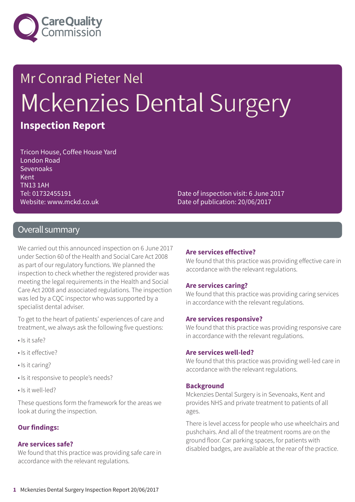

# Mr Conrad Pieter Nel Mckenzies Dental Surgery

### **Inspection Report**

Tricon House, Coffee House Yard London Road Sevenoaks Kent TN13 1AH Tel: 01732455191 Website: www.mckd.co.uk

Date of inspection visit: 6 June 2017 Date of publication: 20/06/2017

### Overall summary

We carried out this announced inspection on 6 June 2017 under Section 60 of the Health and Social Care Act 2008 as part of our regulatory functions. We planned the inspection to check whether the registered provider was meeting the legal requirements in the Health and Social Care Act 2008 and associated regulations. The inspection was led by a CQC inspector who was supported by a specialist dental adviser.

To get to the heart of patients' experiences of care and treatment, we always ask the following five questions:

- Is it safe?
- Is it effective?
- Is it caring?
- Is it responsive to people's needs?
- Is it well-led?

These questions form the framework for the areas we look at during the inspection.

### **Our findings:**

#### **Are services safe?**

We found that this practice was providing safe care in accordance with the relevant regulations.

#### **Are services effective?**

We found that this practice was providing effective care in accordance with the relevant regulations.

#### **Are services caring?**

We found that this practice was providing caring services in accordance with the relevant regulations.

#### **Are services responsive?**

We found that this practice was providing responsive care in accordance with the relevant regulations.

#### **Are services well-led?**

We found that this practice was providing well-led care in accordance with the relevant regulations.

#### **Background**

Mckenzies Dental Surgery is in Sevenoaks, Kent and provides NHS and private treatment to patients of all ages.

There is level access for people who use wheelchairs and pushchairs. And all of the treatment rooms are on the ground floor. Car parking spaces, for patients with disabled badges, are available at the rear of the practice.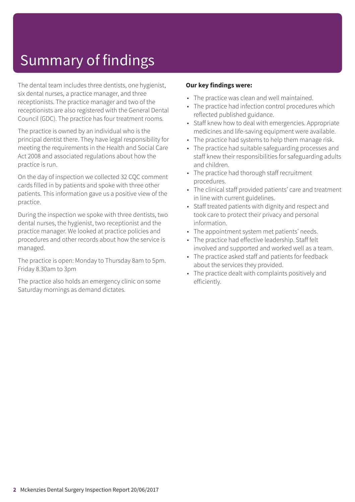# Summary of findings

The dental team includes three dentists, one hygienist, six dental nurses, a practice manager, and three receptionists. The practice manager and two of the receptionists are also registered with the General Dental Council (GDC). The practice has four treatment rooms.

The practice is owned by an individual who is the principal dentist there. They have legal responsibility for meeting the requirements in the Health and Social Care Act 2008 and associated regulations about how the practice is run.

On the day of inspection we collected 32 CQC comment cards filled in by patients and spoke with three other patients. This information gave us a positive view of the practice.

During the inspection we spoke with three dentists, two dental nurses, the hygienist, two receptionist and the practice manager. We looked at practice policies and procedures and other records about how the service is managed.

The practice is open: Monday to Thursday 8am to 5pm. Friday 8.30am to 3pm

The practice also holds an emergency clinic on some Saturday mornings as demand dictates.

### **Our key findings were:**

- The practice was clean and well maintained.
- The practice had infection control procedures which reflected published guidance.
- Staff knew how to deal with emergencies. Appropriate medicines and life-saving equipment were available.
- The practice had systems to help them manage risk.
- The practice had suitable safeguarding processes and staff knew their responsibilities for safeguarding adults and children.
- The practice had thorough staff recruitment procedures.
- The clinical staff provided patients' care and treatment in line with current guidelines.
- Staff treated patients with dignity and respect and took care to protect their privacy and personal information.
- The appointment system met patients' needs.
- The practice had effective leadership. Staff felt involved and supported and worked well as a team.
- The practice asked staff and patients for feedback about the services they provided.
- The practice dealt with complaints positively and efficiently.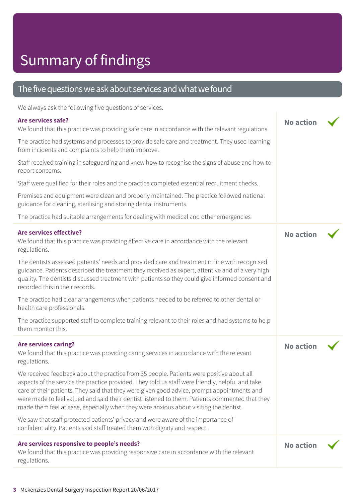# Summary of findings

### The five questions we ask about services and what we found

We always ask the following five questions of services.

### **Are services safe?** We found that this practice was providing safe care in accordance with the relevant regulations. The practice had systems and processes to provide safe care and treatment. They used learning from incidents and complaints to help them improve. Staff received training in safeguarding and knew how to recognise the signs of abuse and how to report concerns. Staff were qualified for their roles and the practice completed essential recruitment checks. Premises and equipment were clean and properly maintained. The practice followed national guidance for cleaning, sterilising and storing dental instruments. The practice had suitable arrangements for dealing with medical and other emergencies **No action Are services effective?** We found that this practice was providing effective care in accordance with the relevant regulations. The dentists assessed patients' needs and provided care and treatment in line with recognised guidance. Patients described the treatment they received as expert, attentive and of a very high quality. The dentists discussed treatment with patients so they could give informed consent and recorded this in their records. The practice had clear arrangements when patients needed to be referred to other dental or health care professionals. The practice supported staff to complete training relevant to their roles and had systems to help them monitor this. **No action Are services caring?** We found that this practice was providing caring services in accordance with the relevant regulations. We received feedback about the practice from 35 people. Patients were positive about all aspects of the service the practice provided. They told us staff were friendly, helpful and take care of their patients. They said that they were given good advice, prompt appointments and were made to feel valued and said their dentist listened to them. Patients commented that they made them feel at ease, especially when they were anxious about visiting the dentist. We saw that staff protected patients' privacy and were aware of the importance of confidentiality. Patients said staff treated them with dignity and respect. **No action Are services responsive to people's needs?** We found that this practice was providing responsive care in accordance with the relevant regulations. **No action**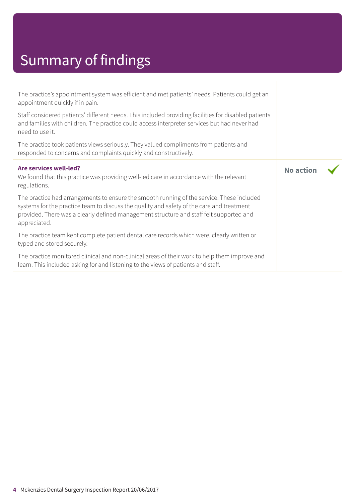# Summary of findings

| The practice's appointment system was efficient and met patients' needs. Patients could get an<br>appointment quickly if in pain.                                                                                                                                                                 |                  |  |
|---------------------------------------------------------------------------------------------------------------------------------------------------------------------------------------------------------------------------------------------------------------------------------------------------|------------------|--|
| Staff considered patients' different needs. This included providing facilities for disabled patients<br>and families with children. The practice could access interpreter services but had never had<br>need to use it.                                                                           |                  |  |
| The practice took patients views seriously. They valued compliments from patients and<br>responded to concerns and complaints quickly and constructively.                                                                                                                                         |                  |  |
| Are services well-led?<br>We found that this practice was providing well-led care in accordance with the relevant<br>regulations.                                                                                                                                                                 | <b>No action</b> |  |
| The practice had arrangements to ensure the smooth running of the service. These included<br>systems for the practice team to discuss the quality and safety of the care and treatment<br>provided. There was a clearly defined management structure and staff felt supported and<br>appreciated. |                  |  |
| The practice team kept complete patient dental care records which were, clearly written or<br>typed and stored securely.                                                                                                                                                                          |                  |  |
| The practice monitored clinical and non-clinical areas of their work to help them improve and<br>learn. This included asking for and listening to the views of patients and staff.                                                                                                                |                  |  |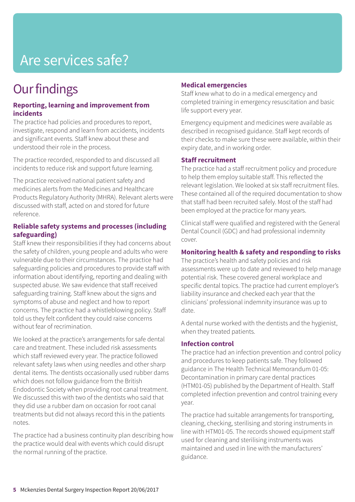# Are services safe?

### **Our findings**

### **Reporting, learning and improvement from incidents**

The practice had policies and procedures to report, investigate, respond and learn from accidents, incidents and significant events. Staff knew about these and understood their role in the process.

The practice recorded, responded to and discussed all incidents to reduce risk and support future learning.

The practice received national patient safety and medicines alerts from the Medicines and Healthcare Products Regulatory Authority (MHRA). Relevant alerts were discussed with staff, acted on and stored for future reference.

### **Reliable safety systems and processes (including safeguarding)**

Staff knew their responsibilities if they had concerns about the safety of children, young people and adults who were vulnerable due to their circumstances. The practice had safeguarding policies and procedures to provide staff with information about identifying, reporting and dealing with suspected abuse. We saw evidence that staff received safeguarding training. Staff knew about the signs and symptoms of abuse and neglect and how to report concerns. The practice had a whistleblowing policy. Staff told us they felt confident they could raise concerns without fear of recrimination.

We looked at the practice's arrangements for safe dental care and treatment. These included risk assessments which staff reviewed every year. The practice followed relevant safety laws when using needles and other sharp dental items. The dentists occasionally used rubber dams which does not follow guidance from the British Endodontic Society when providing root canal treatment. We discussed this with two of the dentists who said that they did use a rubber dam on occasion for root canal treatments but did not always record this in the patients notes.

The practice had a business continuity plan describing how the practice would deal with events which could disrupt the normal running of the practice.

### **Medical emergencies**

Staff knew what to do in a medical emergency and completed training in emergency resuscitation and basic life support every year.

Emergency equipment and medicines were available as described in recognised guidance. Staff kept records of their checks to make sure these were available, within their expiry date, and in working order.

### **Staff recruitment**

The practice had a staff recruitment policy and procedure to help them employ suitable staff. This reflected the relevant legislation. We looked at six staff recruitment files. These contained all of the required documentation to show that staff had been recruited safely. Most of the staff had been employed at the practice for many years.

Clinical staff were qualified and registered with the General Dental Council (GDC) and had professional indemnity cover.

### **Monitoring health & safety and responding to risks**

The practice's health and safety policies and risk assessments were up to date and reviewed to help manage potential risk. These covered general workplace and specific dental topics. The practice had current employer's liability insurance and checked each year that the clinicians' professional indemnity insurance was up to date.

A dental nurse worked with the dentists and the hygienist, when they treated patients.

### **Infection control**

The practice had an infection prevention and control policy and procedures to keep patients safe. They followed guidance in The Health Technical Memorandum 01-05: Decontamination in primary care dental practices (HTM01-05) published by the Department of Health. Staff completed infection prevention and control training every year.

The practice had suitable arrangements for transporting, cleaning, checking, sterilising and storing instruments in line with HTM01-05. The records showed equipment staff used for cleaning and sterilising instruments was maintained and used in line with the manufacturers' guidance.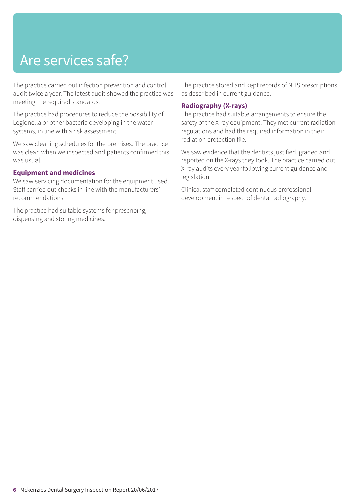# Are services safe?

The practice carried out infection prevention and control audit twice a year. The latest audit showed the practice was meeting the required standards.

The practice had procedures to reduce the possibility of Legionella or other bacteria developing in the water systems, in line with a risk assessment.

We saw cleaning schedules for the premises. The practice was clean when we inspected and patients confirmed this was usual.

### **Equipment and medicines**

We saw servicing documentation for the equipment used. Staff carried out checks in line with the manufacturers' recommendations.

The practice had suitable systems for prescribing, dispensing and storing medicines.

The practice stored and kept records of NHS prescriptions as described in current guidance.

### **Radiography (X-rays)**

The practice had suitable arrangements to ensure the safety of the X-ray equipment. They met current radiation regulations and had the required information in their radiation protection file.

We saw evidence that the dentists justified, graded and reported on the X-rays they took. The practice carried out X-ray audits every year following current guidance and legislation.

Clinical staff completed continuous professional development in respect of dental radiography.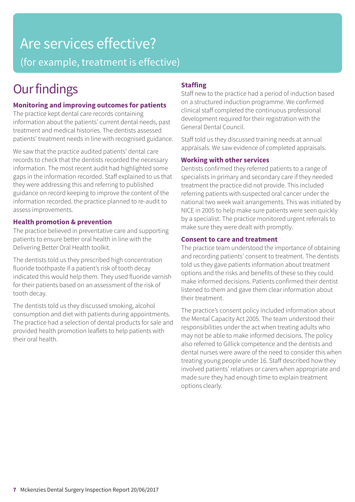### Are services effective? (for example, treatment is effective)

### **Our findings**

### **Monitoring and improving outcomes for patients**

The practice kept dental care records containing information about the patients' current dental needs, past treatment and medical histories. The dentists assessed patients' treatment needs in line with recognised guidance.

We saw that the practice audited patients' dental care records to check that the dentists recorded the necessary information. The most recent audit had highlighted some gaps in the information recorded. Staff explained to us that they were addressing this and referring to published guidance on record keeping to improve the content of the information recorded. the practice planned to re-audit to assess improvements.

### **Health promotion & prevention**

The practice believed in preventative care and supporting patients to ensure better oral health in line with the Delivering Better Oral Health toolkit.

The dentists told us they prescribed high concentration fluoride toothpaste if a patient's risk of tooth decay indicated this would help them. They used fluoride varnish for their patients based on an assessment of the risk of tooth decay.

The dentists told us they discussed smoking, alcohol consumption and diet with patients during appointments. The practice had a selection of dental products for sale and provided health promotion leaflets to help patients with their oral health.

### **Staffing**

Staff new to the practice had a period of induction based on a structured induction programme. We confirmed clinical staff completed the continuous professional development required for their registration with the General Dental Council.

Staff told us they discussed training needs at annual appraisals. We saw evidence of completed appraisals.

### **Working with other services**

Dentists confirmed they referred patients to a range of specialists in primary and secondary care if they needed treatment the practice did not provide. This included referring patients with suspected oral cancer under the national two week wait arrangements. This was initiated by NICE in 2005 to help make sure patients were seen quickly by a specialist. The practice monitored urgent referrals to make sure they were dealt with promptly.

### **Consent to care and treatment**

The practice team understood the importance of obtaining and recording patients' consent to treatment. The dentists told us they gave patients information about treatment options and the risks and benefits of these so they could make informed decisions. Patients confirmed their dentist listened to them and gave them clear information about their treatment.

The practice's consent policy included information about the Mental Capacity Act 2005. The team understood their responsibilities under the act when treating adults who may not be able to make informed decisions. The policy also referred to Gillick competence and the dentists and dental nurses were aware of the need to consider this when treating young people under 16. Staff described how they involved patients' relatives or carers when appropriate and made sure they had enough time to explain treatment options clearly.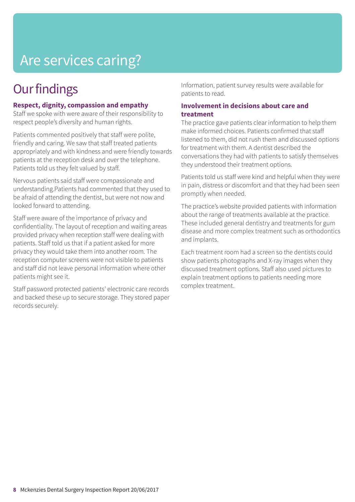# Are services caring?

### **Our findings**

### **Respect, dignity, compassion and empathy**

Staff we spoke with were aware of their responsibility to respect people's diversity and human rights.

Patients commented positively that staff were polite, friendly and caring. We saw that staff treated patients appropriately and with kindness and were friendly towards patients at the reception desk and over the telephone. Patients told us they felt valued by staff.

Nervous patients said staff were compassionate and understanding.Patients had commented that they used to be afraid of attending the dentist, but were not now and looked forward to attending.

Staff were aware of the importance of privacy and confidentiality. The layout of reception and waiting areas provided privacy when reception staff were dealing with patients. Staff told us that if a patient asked for more privacy they would take them into another room. The reception computer screens were not visible to patients and staff did not leave personal information where other patients might see it.

Staff password protected patients' electronic care records and backed these up to secure storage. They stored paper records securely.

Information, patient survey results were available for patients to read.

### **Involvement in decisions about care and treatment**

The practice gave patients clear information to help them make informed choices. Patients confirmed that staff listened to them, did not rush them and discussed options for treatment with them. A dentist described the conversations they had with patients to satisfy themselves they understood their treatment options.

Patients told us staff were kind and helpful when they were in pain, distress or discomfort and that they had been seen promptly when needed.

The practice's website provided patients with information about the range of treatments available at the practice. These included general dentistry and treatments for gum disease and more complex treatment such as orthodontics and implants.

Each treatment room had a screen so the dentists could show patients photographs and X-ray images when they discussed treatment options. Staff also used pictures to explain treatment options to patients needing more complex treatment.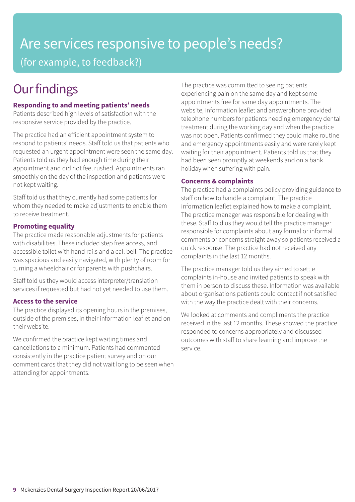### Are services responsive to people's needs? (for example, to feedback?)

### **Our findings**

### **Responding to and meeting patients' needs**

Patients described high levels of satisfaction with the responsive service provided by the practice.

The practice had an efficient appointment system to respond to patients' needs. Staff told us that patients who requested an urgent appointment were seen the same day. Patients told us they had enough time during their appointment and did not feel rushed. Appointments ran smoothly on the day of the inspection and patients were not kept waiting.

Staff told us that they currently had some patients for whom they needed to make adjustments to enable them to receive treatment.

### **Promoting equality**

The practice made reasonable adjustments for patients with disabilities. These included step free access, and accessible toilet with hand rails and a call bell. The practice was spacious and easily navigated, with plenty of room for turning a wheelchair or for parents with pushchairs.

Staff told us they would access interpreter/translation services if requested but had not yet needed to use them.

### **Access to the service**

The practice displayed its opening hours in the premises, outside of the premises, in their information leaflet and on their website.

We confirmed the practice kept waiting times and cancellations to a minimum. Patients had commented consistently in the practice patient survey and on our comment cards that they did not wait long to be seen when attending for appointments.

The practice was committed to seeing patients experiencing pain on the same day and kept some appointments free for same day appointments. The website, information leaflet and answerphone provided telephone numbers for patients needing emergency dental treatment during the working day and when the practice was not open. Patients confirmed they could make routine and emergency appointments easily and were rarely kept waiting for their appointment. Patients told us that they had been seen promptly at weekends and on a bank holiday when suffering with pain.

### **Concerns & complaints**

The practice had a complaints policy providing guidance to staff on how to handle a complaint. The practice information leaflet explained how to make a complaint. The practice manager was responsible for dealing with these. Staff told us they would tell the practice manager responsible for complaints about any formal or informal comments or concerns straight away so patients received a quick response. The practice had not received any complaints in the last 12 months.

The practice manager told us they aimed to settle complaints in-house and invited patients to speak with them in person to discuss these. Information was available about organisations patients could contact if not satisfied with the way the practice dealt with their concerns.

We looked at comments and compliments the practice received in the last 12 months. These showed the practice responded to concerns appropriately and discussed outcomes with staff to share learning and improve the service.